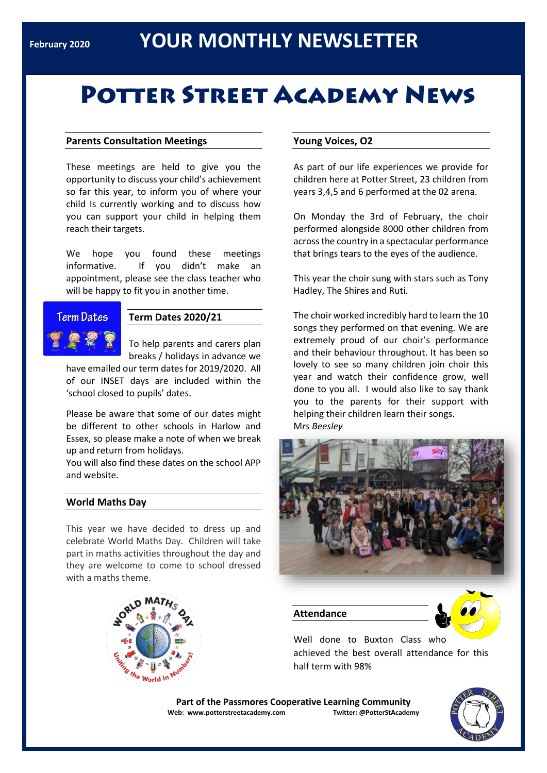# **POTTER STREET ACADEMY NEWS**

#### **Parents Consultation Meetings**

These meetings are held to give you the opportunity to discuss your child's achievement so far this year, to inform you of where your child Is currently working and to discuss how you can support your child in helping them reach their targets.

We hope you found these meetings informative. If you didn't make an appointment, please see the class teacher who will be happy to fit you in another time.

### **Term Dates**

#### **Term Dates 2020/21**

To help parents and carers plan breaks / holidays in advance we

have emailed our term dates for 2019/2020. All of our INSET days are included within the 'school closed to pupils' dates.

Please be aware that some of our dates might be different to other schools in Harlow and Essex, so please make a note of when we break up and return from holidays.

You will also find these dates on the school APP and website.

#### **World Maths Day**

This year we have decided to dress up and celebrate World Maths Day. Children will take part in maths activities throughout the day and they are welcome to come to school dressed with a maths theme.



#### **Young Voices, O2**

As part of our life experiences we provide for children here at Potter Street, 23 children from years 3,4,5 and 6 performed at the 02 arena.

On Monday the 3rd of February, the choir performed alongside 8000 other children from across the country in a spectacular performance that brings tears to the eyes of the audience.

This year the choir sung with stars such as Tony Hadley, The Shires and Ruti.

The choir worked incredibly hard to learn the 10 songs they performed on that evening. We are extremely proud of our choir's performance and their behaviour throughout. It has been so lovely to see so many children join choir this year and watch their confidence grow, well done to you all. I would also like to say thank you to the parents for their support with helping their children learn their songs. M*rs Beesley*



**Attendance**



Well done to Buxton Class who achieved the best overall attendance for this half term with 98%

**Part of the Passmores Cooperative Learning Community Web: www.potterstreetacademy.com Twitter: @PotterStAcademy**

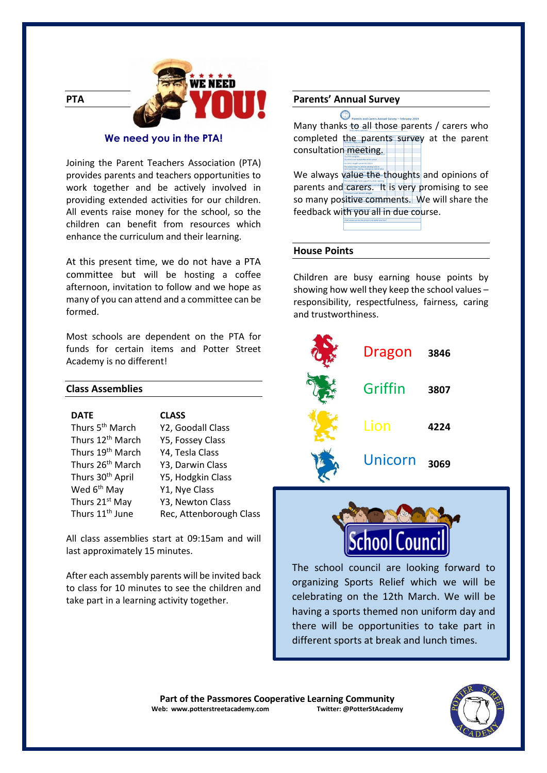

#### **We need you in the PTA!**

Joining the Parent Teachers Association (PTA) provides parents and teachers opportunities to work together and be actively involved in providing extended activities for our children. All events raise money for the school, so the children can benefit from resources which enhance the curriculum and their learning.

At this present time, we do not have a PTA committee but will be hosting a coffee afternoon, invitation to follow and we hope as many of you can attend and a committee can be formed.

Most schools are dependent on the PTA for funds for certain items and Potter Street Academy is no different!

#### **Class Assemblies**

| <b>DATE</b>                  | <b>CLASS</b>            |
|------------------------------|-------------------------|
| Thurs 5 <sup>th</sup> March  | Y2, Goodall Class       |
| Thurs 12 <sup>th</sup> March | Y5, Fossey Class        |
| Thurs 19 <sup>th</sup> March | Y4, Tesla Class         |
| Thurs 26 <sup>th</sup> March | Y3, Darwin Class        |
| Thurs 30 <sup>th</sup> April | Y5, Hodgkin Class       |
| Wed 6 <sup>th</sup> May      | Y1, Nye Class           |
| Thurs 21 <sup>st</sup> May   | Y3, Newton Class        |
| Thurs 11 <sup>th</sup> June  | Rec, Attenborough Class |

All class assemblies start at 09:15am and will last approximately 15 minutes.

After each assembly parents will be invited back to class for 10 minutes to see the children and take part in a learning activity together.

#### **Parents' Annual Survey**

 $\bigcircledcirc$  Parents Many thanks to all those parents / carers who completed the parents survey at the parent consultation meeting.

We always value the thoughts and opinions of parents and carers. It is very promising to see so many positive comments. We will share the feedback with you all in due course.

#### **House Points**

Children are busy earning house points by showing how well they keep the school values – responsibility, respectfulness, fairness, caring and trustworthiness.





The school council are looking forward to organizing Sports Relief which we will be celebrating on the 12th March. We will be having a sports themed non uniform day and there will be opportunities to take part in different sports at break and lunch times.